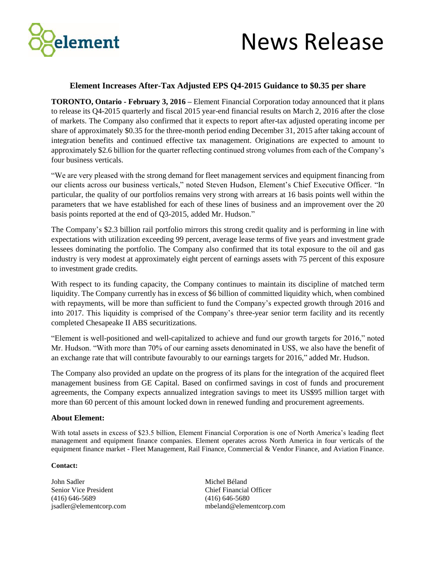

## News Release

## **Element Increases After-Tax Adjusted EPS Q4-2015 Guidance to \$0.35 per share**

**TORONTO, Ontario - February 3, 2016 –** Element Financial Corporation today announced that it plans to release its Q4-2015 quarterly and fiscal 2015 year-end financial results on March 2, 2016 after the close of markets. The Company also confirmed that it expects to report after-tax adjusted operating income per share of approximately \$0.35 for the three-month period ending December 31, 2015 after taking account of integration benefits and continued effective tax management. Originations are expected to amount to approximately \$2.6 billion for the quarter reflecting continued strong volumes from each of the Company's four business verticals.

"We are very pleased with the strong demand for fleet management services and equipment financing from our clients across our business verticals," noted Steven Hudson, Element's Chief Executive Officer. "In particular, the quality of our portfolios remains very strong with arrears at 16 basis points well within the parameters that we have established for each of these lines of business and an improvement over the 20 basis points reported at the end of Q3-2015, added Mr. Hudson."

The Company's \$2.3 billion rail portfolio mirrors this strong credit quality and is performing in line with expectations with utilization exceeding 99 percent, average lease terms of five years and investment grade lessees dominating the portfolio. The Company also confirmed that its total exposure to the oil and gas industry is very modest at approximately eight percent of earnings assets with 75 percent of this exposure to investment grade credits.

With respect to its funding capacity, the Company continues to maintain its discipline of matched term liquidity. The Company currently has in excess of \$6 billion of committed liquidity which, when combined with repayments, will be more than sufficient to fund the Company's expected growth through 2016 and into 2017. This liquidity is comprised of the Company's three-year senior term facility and its recently completed Chesapeake II ABS securitizations.

"Element is well-positioned and well-capitalized to achieve and fund our growth targets for 2016," noted Mr. Hudson. "With more than 70% of our earning assets denominated in US\$, we also have the benefit of an exchange rate that will contribute favourably to our earnings targets for 2016," added Mr. Hudson.

The Company also provided an update on the progress of its plans for the integration of the acquired fleet management business from GE Capital. Based on confirmed savings in cost of funds and procurement agreements, the Company expects annualized integration savings to meet its US\$95 million target with more than 60 percent of this amount locked down in renewed funding and procurement agreements.

## **About Element:**

With total assets in excess of \$23.5 billion, Element Financial Corporation is one of North America's leading fleet management and equipment finance companies. Element operates across North America in four verticals of the equipment finance market - Fleet Management, Rail Finance, Commercial & Vendor Finance, and Aviation Finance.

## **Contact:**

John Sadler Michel Béland Senior Vice President Chief Financial Officer (416) 646-5689 (416) 646-5680

jsadler@elementcorp.com mbeland@elementcorp.com